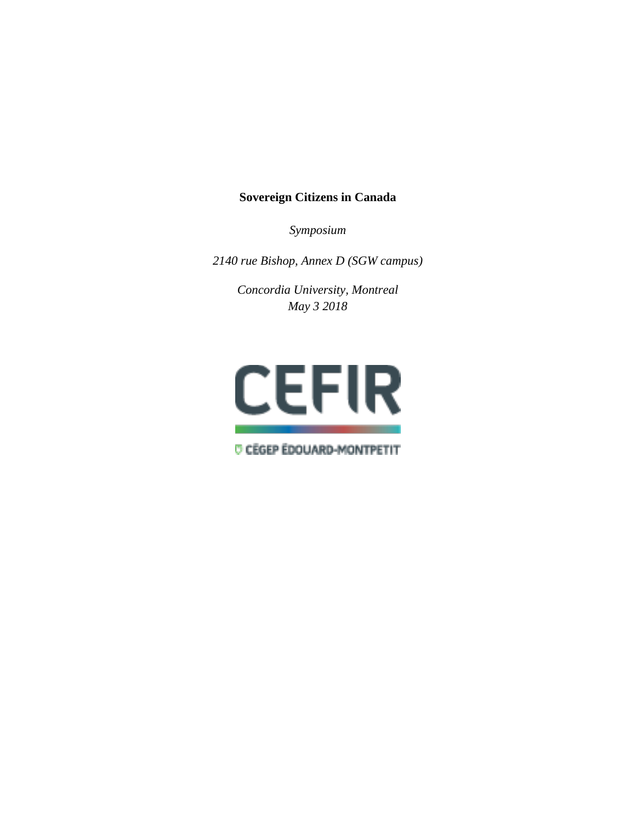# **Sovereign Citizens in Canada**

*Symposium*

*2140 rue Bishop, Annex D (SGW campus)*

*Concordia University, Montreal May 3 2018*



*O CÉGEP ÉDOUARD-MONTPETIT*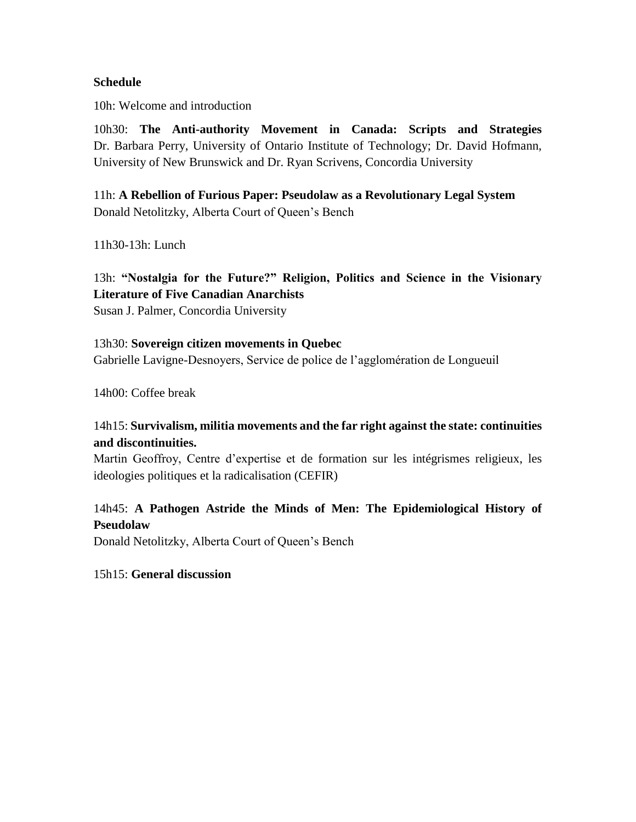### **Schedule**

10h: Welcome and introduction

10h30: **The Anti-authority Movement in Canada: Scripts and Strategies** Dr. Barbara Perry, University of Ontario Institute of Technology; Dr. David Hofmann, University of New Brunswick and Dr. Ryan Scrivens, Concordia University

11h: **A Rebellion of Furious Paper: Pseudolaw as a Revolutionary Legal System** Donald Netolitzky, Alberta Court of Queen's Bench

11h30-13h: Lunch

13h: **"Nostalgia for the Future?" Religion, Politics and Science in the Visionary Literature of Five Canadian Anarchists**

Susan J. Palmer, Concordia University

13h30: **Sovereign citizen movements in Quebec** Gabrielle Lavigne-Desnoyers, Service de police de l'agglomération de Longueuil

14h00: Coffee break

# 14h15: **Survivalism, militia movements and the far right against the state: continuities and discontinuities.**

Martin Geoffroy, Centre d'expertise et de formation sur les intégrismes religieux, les ideologies politiques et la radicalisation (CEFIR)

# 14h45: **A Pathogen Astride the Minds of Men: The Epidemiological History of Pseudolaw**

Donald Netolitzky, Alberta Court of Queen's Bench

15h15: **General discussion**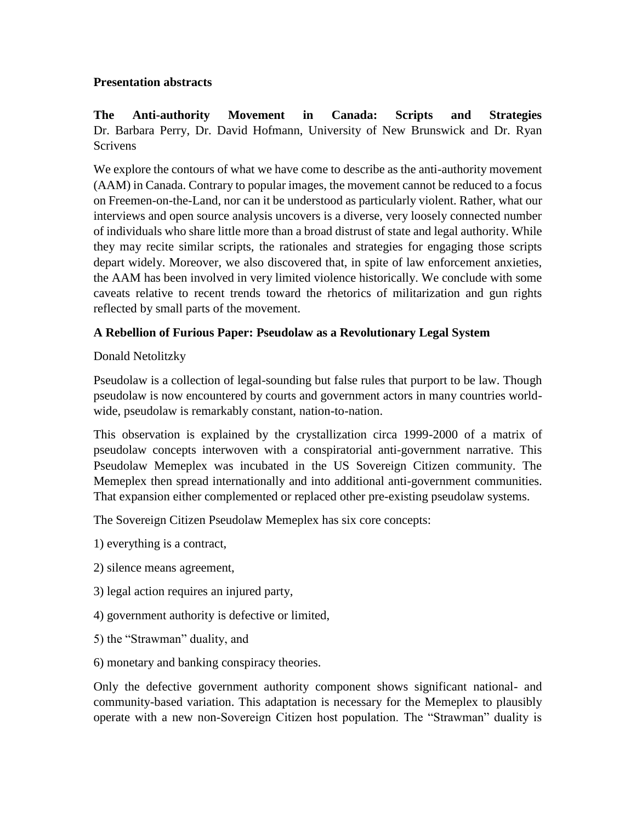## **Presentation abstracts**

**The Anti-authority Movement in Canada: Scripts and Strategies** Dr. Barbara Perry, Dr. David Hofmann, University of New Brunswick and Dr. Ryan Scrivens

We explore the contours of what we have come to describe as the anti-authority movement (AAM) in Canada. Contrary to popular images, the movement cannot be reduced to a focus on Freemen-on-the-Land, nor can it be understood as particularly violent. Rather, what our interviews and open source analysis uncovers is a diverse, very loosely connected number of individuals who share little more than a broad distrust of state and legal authority. While they may recite similar scripts, the rationales and strategies for engaging those scripts depart widely. Moreover, we also discovered that, in spite of law enforcement anxieties, the AAM has been involved in very limited violence historically. We conclude with some caveats relative to recent trends toward the rhetorics of militarization and gun rights reflected by small parts of the movement.

# **A Rebellion of Furious Paper: Pseudolaw as a Revolutionary Legal System**

# Donald Netolitzky

Pseudolaw is a collection of legal-sounding but false rules that purport to be law. Though pseudolaw is now encountered by courts and government actors in many countries worldwide, pseudolaw is remarkably constant, nation-to-nation.

This observation is explained by the crystallization circa 1999-2000 of a matrix of pseudolaw concepts interwoven with a conspiratorial anti-government narrative. This Pseudolaw Memeplex was incubated in the US Sovereign Citizen community. The Memeplex then spread internationally and into additional anti-government communities. That expansion either complemented or replaced other pre-existing pseudolaw systems.

The Sovereign Citizen Pseudolaw Memeplex has six core concepts:

1) everything is a contract,

- 2) silence means agreement,
- 3) legal action requires an injured party,
- 4) government authority is defective or limited,
- 5) the "Strawman" duality, and
- 6) monetary and banking conspiracy theories.

Only the defective government authority component shows significant national- and community-based variation. This adaptation is necessary for the Memeplex to plausibly operate with a new non-Sovereign Citizen host population. The "Strawman" duality is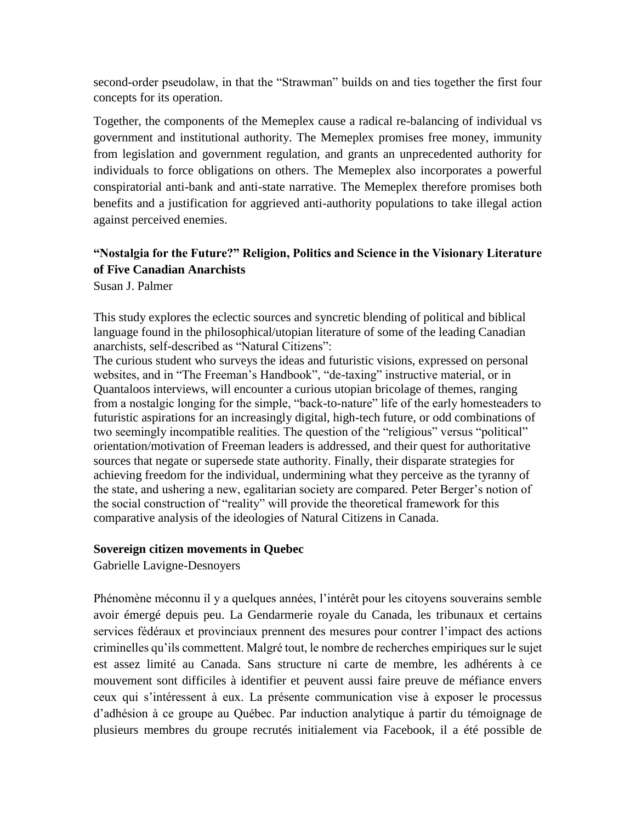second-order pseudolaw, in that the "Strawman" builds on and ties together the first four concepts for its operation.

Together, the components of the Memeplex cause a radical re-balancing of individual vs government and institutional authority. The Memeplex promises free money, immunity from legislation and government regulation, and grants an unprecedented authority for individuals to force obligations on others. The Memeplex also incorporates a powerful conspiratorial anti-bank and anti-state narrative. The Memeplex therefore promises both benefits and a justification for aggrieved anti-authority populations to take illegal action against perceived enemies.

# **"Nostalgia for the Future?" Religion, Politics and Science in the Visionary Literature of Five Canadian Anarchists**

Susan J. Palmer

This study explores the eclectic sources and syncretic blending of political and biblical language found in the philosophical/utopian literature of some of the leading Canadian anarchists, self-described as "Natural Citizens":

The curious student who surveys the ideas and futuristic visions, expressed on personal websites, and in "The Freeman's Handbook", "de-taxing" instructive material, or in Quantaloos interviews, will encounter a curious utopian bricolage of themes, ranging from a nostalgic longing for the simple, "back-to-nature" life of the early homesteaders to futuristic aspirations for an increasingly digital, high-tech future, or odd combinations of two seemingly incompatible realities. The question of the "religious" versus "political" orientation/motivation of Freeman leaders is addressed, and their quest for authoritative sources that negate or supersede state authority. Finally, their disparate strategies for achieving freedom for the individual, undermining what they perceive as the tyranny of the state, and ushering a new, egalitarian society are compared. Peter Berger's notion of the social construction of "reality" will provide the theoretical framework for this comparative analysis of the ideologies of Natural Citizens in Canada.

## **Sovereign citizen movements in Quebec**

Gabrielle Lavigne-Desnoyers

Phénomène méconnu il y a quelques années, l'intérêt pour les citoyens souverains semble avoir émergé depuis peu. La Gendarmerie royale du Canada, les tribunaux et certains services fédéraux et provinciaux prennent des mesures pour contrer l'impact des actions criminelles qu'ils commettent. Malgré tout, le nombre de recherches empiriques sur le sujet est assez limité au Canada. Sans structure ni carte de membre, les adhérents à ce mouvement sont difficiles à identifier et peuvent aussi faire preuve de méfiance envers ceux qui s'intéressent à eux. La présente communication vise à exposer le processus d'adhésion à ce groupe au Québec. Par induction analytique à partir du témoignage de plusieurs membres du groupe recrutés initialement via Facebook, il a été possible de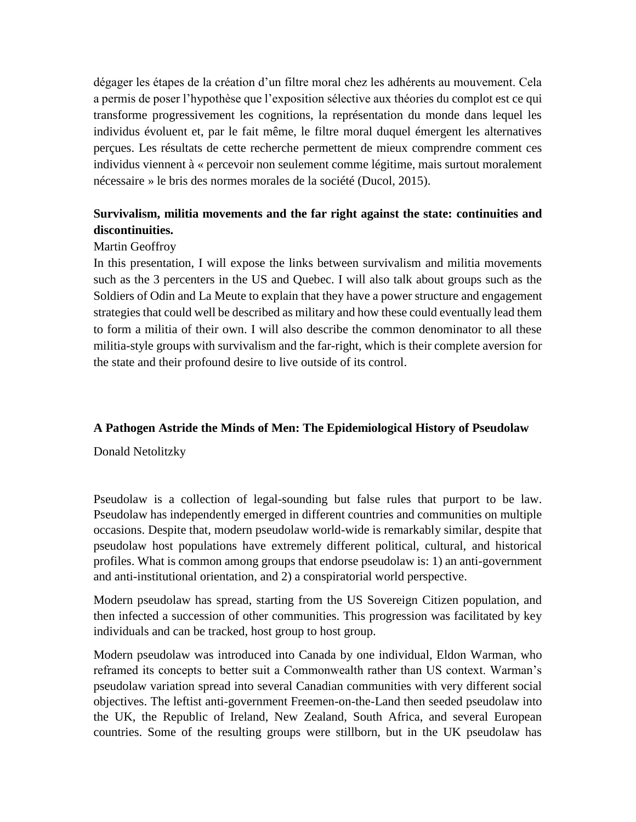dégager les étapes de la création d'un filtre moral chez les adhérents au mouvement. Cela a permis de poser l'hypothèse que l'exposition sélective aux théories du complot est ce qui transforme progressivement les cognitions, la représentation du monde dans lequel les individus évoluent et, par le fait même, le filtre moral duquel émergent les alternatives perçues. Les résultats de cette recherche permettent de mieux comprendre comment ces individus viennent à « percevoir non seulement comme légitime, mais surtout moralement nécessaire » le bris des normes morales de la société (Ducol, 2015).

# **Survivalism, militia movements and the far right against the state: continuities and discontinuities.**

### Martin Geoffroy

In this presentation, I will expose the links between survivalism and militia movements such as the 3 percenters in the US and Quebec. I will also talk about groups such as the Soldiers of Odin and La Meute to explain that they have a power structure and engagement strategies that could well be described as military and how these could eventually lead them to form a militia of their own. I will also describe the common denominator to all these militia-style groups with survivalism and the far-right, which is their complete aversion for the state and their profound desire to live outside of its control.

## **A Pathogen Astride the Minds of Men: The Epidemiological History of Pseudolaw**

Donald Netolitzky

Pseudolaw is a collection of legal-sounding but false rules that purport to be law. Pseudolaw has independently emerged in different countries and communities on multiple occasions. Despite that, modern pseudolaw world-wide is remarkably similar, despite that pseudolaw host populations have extremely different political, cultural, and historical profiles. What is common among groups that endorse pseudolaw is: 1) an anti-government and anti-institutional orientation, and 2) a conspiratorial world perspective.

Modern pseudolaw has spread, starting from the US Sovereign Citizen population, and then infected a succession of other communities. This progression was facilitated by key individuals and can be tracked, host group to host group.

Modern pseudolaw was introduced into Canada by one individual, Eldon Warman, who reframed its concepts to better suit a Commonwealth rather than US context. Warman's pseudolaw variation spread into several Canadian communities with very different social objectives. The leftist anti-government Freemen-on-the-Land then seeded pseudolaw into the UK, the Republic of Ireland, New Zealand, South Africa, and several European countries. Some of the resulting groups were stillborn, but in the UK pseudolaw has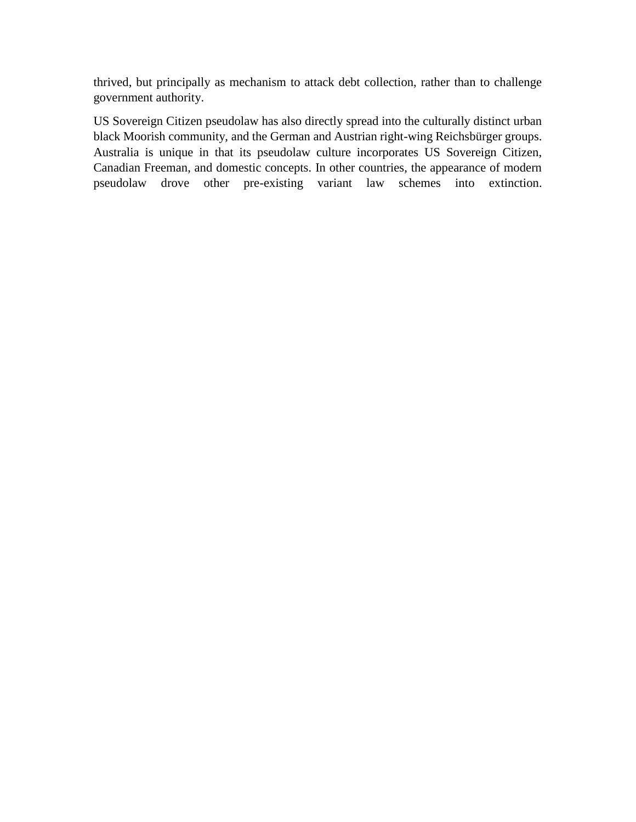thrived, but principally as mechanism to attack debt collection, rather than to challenge government authority.

US Sovereign Citizen pseudolaw has also directly spread into the culturally distinct urban black Moorish community, and the German and Austrian right-wing Reichsbürger groups. Australia is unique in that its pseudolaw culture incorporates US Sovereign Citizen, Canadian Freeman, and domestic concepts. In other countries, the appearance of modern pseudolaw drove other pre-existing variant law schemes into extinction.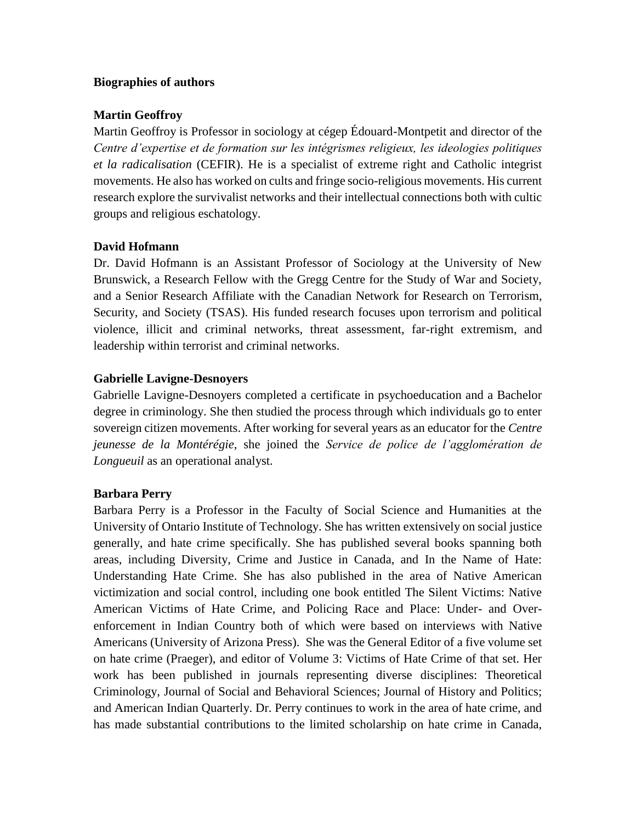### **Biographies of authors**

## **Martin Geoffroy**

Martin Geoffroy is Professor in sociology at cégep Édouard-Montpetit and director of the *Centre d'expertise et de formation sur les intégrismes religieux, les ideologies politiques et la radicalisation* (CEFIR). He is a specialist of extreme right and Catholic integrist movements. He also has worked on cults and fringe socio-religious movements. His current research explore the survivalist networks and their intellectual connections both with cultic groups and religious eschatology.

### **David Hofmann**

Dr. David Hofmann is an Assistant Professor of Sociology at the University of New Brunswick, a Research Fellow with the Gregg Centre for the Study of War and Society, and a Senior Research Affiliate with the Canadian Network for Research on Terrorism, Security, and Society (TSAS). His funded research focuses upon terrorism and political violence, illicit and criminal networks, threat assessment, far-right extremism, and leadership within terrorist and criminal networks.

### **Gabrielle Lavigne-Desnoyers**

Gabrielle Lavigne-Desnoyers completed a certificate in psychoeducation and a Bachelor degree in criminology. She then studied the process through which individuals go to enter sovereign citizen movements. After working for several years as an educator for the *Centre jeunesse de la Montérégie*, she joined the *Service de police de l'agglomération de Longueuil* as an operational analyst.

#### **Barbara Perry**

Barbara Perry is a Professor in the Faculty of Social Science and Humanities at the University of Ontario Institute of Technology. She has written extensively on social justice generally, and hate crime specifically. She has published several books spanning both areas, including Diversity, Crime and Justice in Canada, and In the Name of Hate: Understanding Hate Crime. She has also published in the area of Native American victimization and social control, including one book entitled The Silent Victims: Native American Victims of Hate Crime, and Policing Race and Place: Under- and Overenforcement in Indian Country both of which were based on interviews with Native Americans (University of Arizona Press). She was the General Editor of a five volume set on hate crime (Praeger), and editor of Volume 3: Victims of Hate Crime of that set. Her work has been published in journals representing diverse disciplines: Theoretical Criminology, Journal of Social and Behavioral Sciences; Journal of History and Politics; and American Indian Quarterly. Dr. Perry continues to work in the area of hate crime, and has made substantial contributions to the limited scholarship on hate crime in Canada,